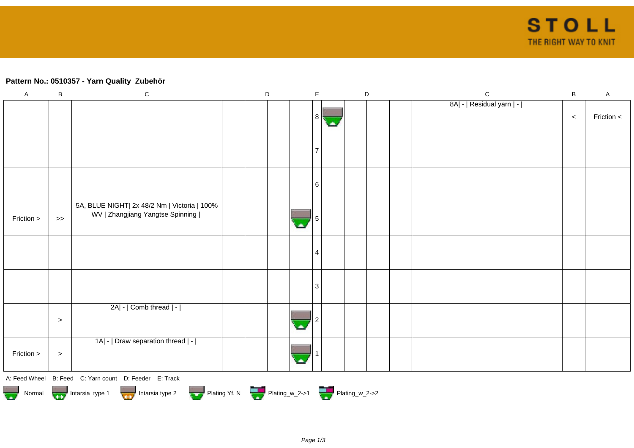## **Pattern No.: 0510357 - Yarn Quality Zubehör**

| $\mathsf A$ | $\sf B$   | ${\bf C}$                                                                             | $\mathsf D$ | $\mathsf E$    | $\mathsf D$ | ${\bf C}$                 | $\, {\bf B}$ | $\mathsf{A}$ |
|-------------|-----------|---------------------------------------------------------------------------------------|-------------|----------------|-------------|---------------------------|--------------|--------------|
|             |           |                                                                                       |             |                |             | 8A  -   Residual yarn   - |              |              |
|             |           |                                                                                       |             | $8\vert$       |             |                           | $\,<$        | Friction <   |
|             |           |                                                                                       |             |                |             |                           |              |              |
|             |           |                                                                                       |             | 7              |             |                           |              |              |
|             |           |                                                                                       |             |                |             |                           |              |              |
|             |           |                                                                                       |             | $6 \mid$       |             |                           |              |              |
|             |           |                                                                                       |             |                |             |                           |              |              |
|             |           | 5A, BLUE NIGHT  2x 48/2 Nm   Victoria   100%                                          |             |                |             |                           |              |              |
| Friction >  | $>\!>$    | WV   Zhangjiang Yangtse Spinning                                                      |             |                |             |                           |              |              |
|             |           |                                                                                       |             |                |             |                           |              |              |
|             |           |                                                                                       |             | 4              |             |                           |              |              |
|             |           |                                                                                       |             |                |             |                           |              |              |
|             |           |                                                                                       |             |                |             |                           |              |              |
|             |           |                                                                                       |             | $\overline{3}$ |             |                           |              |              |
|             |           | 2A  -   Comb thread   -                                                               |             |                |             |                           |              |              |
|             | $\, > \,$ |                                                                                       |             |                |             |                           |              |              |
|             |           |                                                                                       |             |                |             |                           |              |              |
|             |           | 1A  -   Draw separation thread   -                                                    |             |                |             |                           |              |              |
| Friction >  | $\, >$    |                                                                                       |             |                |             |                           |              |              |
|             |           | A: Feed Wheel B: Feed C: Yarn count D: Feeder E: Track                                |             |                |             |                           |              |              |
|             |           | Plating Yf. N Plating_w_2->1 Plating_w_2->2<br>Normal Intarsia type 1 Intarsia type 2 |             |                |             |                           |              |              |
|             |           |                                                                                       |             |                |             |                           |              |              |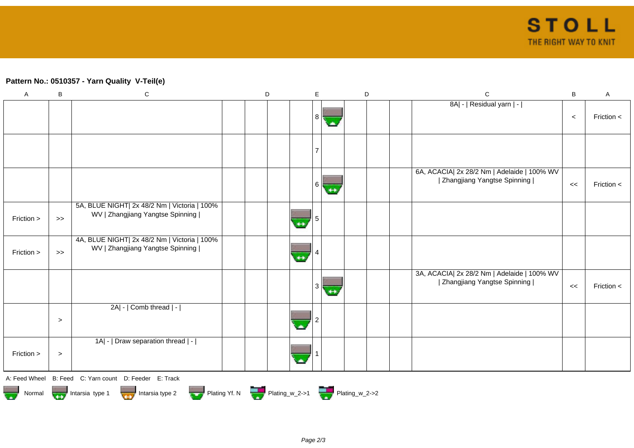## **Pattern No.: 0510357 - Yarn Quality V-Teil(e)**

| $\boldsymbol{\mathsf{A}}$                                                                                                                                                                                                      | B                                                                                           | ${\bf C}$                                                                        |  | D |   | E  |  | D |  |  | $\mathbf C$                                                                  | $\, {\bf B}$ | $\mathsf{A}$ |
|--------------------------------------------------------------------------------------------------------------------------------------------------------------------------------------------------------------------------------|---------------------------------------------------------------------------------------------|----------------------------------------------------------------------------------|--|---|---|----|--|---|--|--|------------------------------------------------------------------------------|--------------|--------------|
|                                                                                                                                                                                                                                |                                                                                             |                                                                                  |  |   |   | 8  |  |   |  |  | 8A  -   Residual yarn   -                                                    | $\,<\,$      | Friction <   |
|                                                                                                                                                                                                                                |                                                                                             |                                                                                  |  |   |   |    |  |   |  |  |                                                                              |              |              |
|                                                                                                                                                                                                                                |                                                                                             |                                                                                  |  |   |   | 6. |  |   |  |  | 6A, ACACIA  2x 28/2 Nm   Adelaide   100% WV<br>  Zhangjiang Yangtse Spinning | <<           | Friction <   |
| Friction >                                                                                                                                                                                                                     | $\gt$                                                                                       | 5A, BLUE NIGHT  2x 48/2 Nm   Victoria   100%<br>WV   Zhangjiang Yangtse Spinning |  |   | ↔ |    |  |   |  |  |                                                                              |              |              |
| Friction >                                                                                                                                                                                                                     | $>$                                                                                         | 4A, BLUE NIGHT  2x 48/2 Nm   Victoria   100%<br>WV   Zhangjiang Yangtse Spinning |  |   |   |    |  |   |  |  |                                                                              |              |              |
|                                                                                                                                                                                                                                |                                                                                             |                                                                                  |  |   |   |    |  |   |  |  | 3A, ACACIA  2x 28/2 Nm   Adelaide   100% WV<br>  Zhangjiang Yangtse Spinning | <<           | Friction <   |
|                                                                                                                                                                                                                                | $\geq$                                                                                      | 2A  -   Comb thread   -                                                          |  |   |   |    |  |   |  |  |                                                                              |              |              |
| Friction >                                                                                                                                                                                                                     | $\,>$                                                                                       | 1A  -   Draw separation thread   -                                               |  |   |   |    |  |   |  |  |                                                                              |              |              |
|                                                                                                                                                                                                                                |                                                                                             | A: Feed Wheel B: Feed C: Yarn count D: Feeder E: Track                           |  |   |   |    |  |   |  |  |                                                                              |              |              |
| and the control of the control of the control of the control of the control of the control of the control of the control of the control of the control of the control of the control of the control of the control of the cont | Plating Yf. N Plating_w_2->1 Plating_w_2->2<br>Intarsia type 1<br>Intarsia type 2<br>Normal |                                                                                  |  |   |   |    |  |   |  |  |                                                                              |              |              |